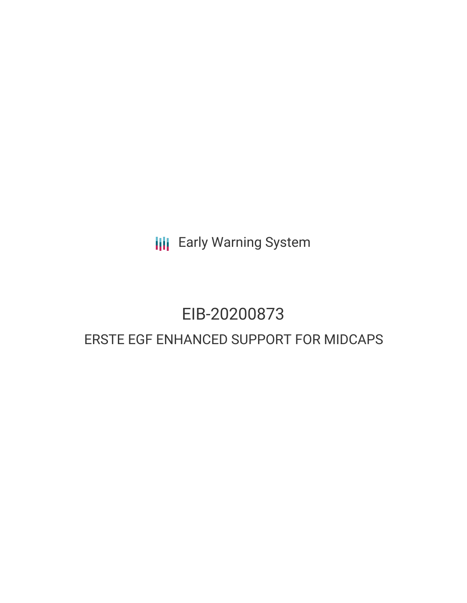**III** Early Warning System

# EIB-20200873 ERSTE EGF ENHANCED SUPPORT FOR MIDCAPS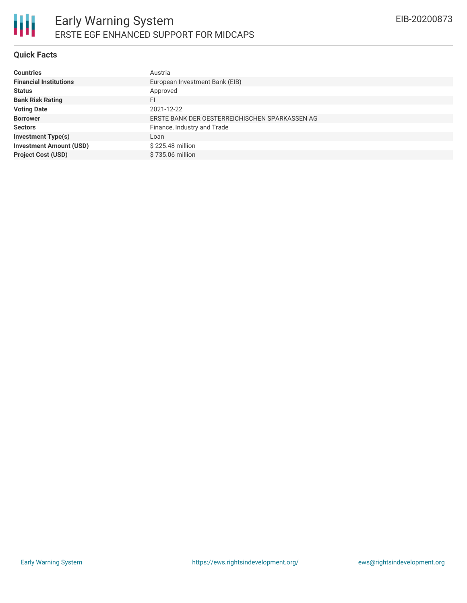## **Quick Facts**

| <b>Countries</b>               | Austria                                        |
|--------------------------------|------------------------------------------------|
| <b>Financial Institutions</b>  | European Investment Bank (EIB)                 |
| <b>Status</b>                  | Approved                                       |
| <b>Bank Risk Rating</b>        | FI                                             |
| <b>Voting Date</b>             | 2021-12-22                                     |
| <b>Borrower</b>                | ERSTE BANK DER OESTERREICHISCHEN SPARKASSEN AG |
| <b>Sectors</b>                 | Finance, Industry and Trade                    |
| <b>Investment Type(s)</b>      | Loan                                           |
| <b>Investment Amount (USD)</b> | \$225.48 million                               |
| <b>Project Cost (USD)</b>      | \$735.06 million                               |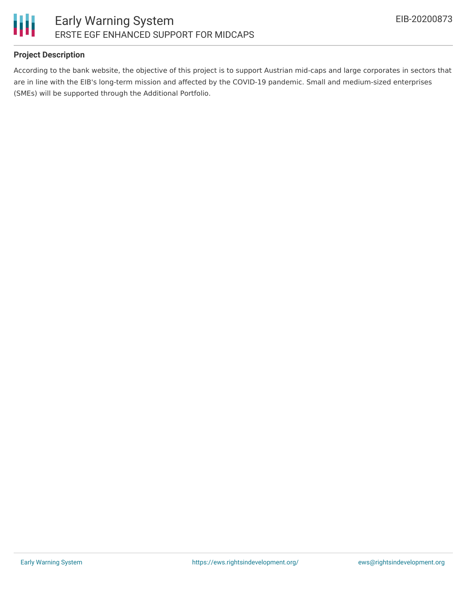

## **Project Description**

According to the bank website, the objective of this project is to support Austrian mid-caps and large corporates in sectors that are in line with the EIB's long-term mission and affected by the COVID-19 pandemic. Small and medium-sized enterprises (SMEs) will be supported through the Additional Portfolio.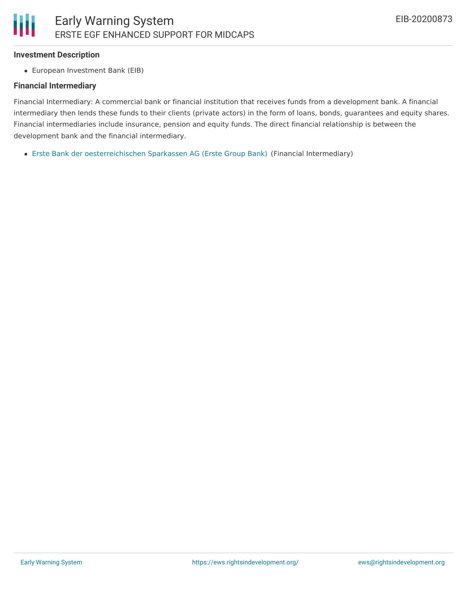#### **Investment Description**

European Investment Bank (EIB)

### **Financial Intermediary**

Financial Intermediary: A commercial bank or financial institution that receives funds from a development bank. A financial intermediary then lends these funds to their clients (private actors) in the form of loans, bonds, guarantees and equity shares. Financial intermediaries include insurance, pension and equity funds. The direct financial relationship is between the development bank and the financial intermediary.

Erste Bank der [oesterreichischen](file:///actor/928/) Sparkassen AG (Erste Group Bank) (Financial Intermediary)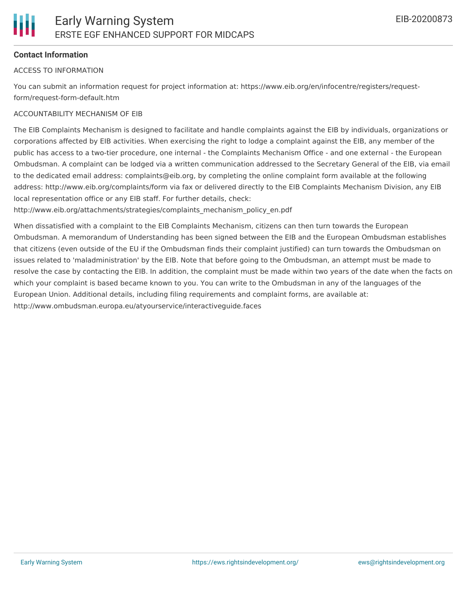## **Contact Information**

#### ACCESS TO INFORMATION

You can submit an information request for project information at: https://www.eib.org/en/infocentre/registers/requestform/request-form-default.htm

### ACCOUNTABILITY MECHANISM OF EIB

The EIB Complaints Mechanism is designed to facilitate and handle complaints against the EIB by individuals, organizations or corporations affected by EIB activities. When exercising the right to lodge a complaint against the EIB, any member of the public has access to a two-tier procedure, one internal - the Complaints Mechanism Office - and one external - the European Ombudsman. A complaint can be lodged via a written communication addressed to the Secretary General of the EIB, via email to the dedicated email address: complaints@eib.org, by completing the online complaint form available at the following address: http://www.eib.org/complaints/form via fax or delivered directly to the EIB Complaints Mechanism Division, any EIB local representation office or any EIB staff. For further details, check:

http://www.eib.org/attachments/strategies/complaints\_mechanism\_policy\_en.pdf

When dissatisfied with a complaint to the EIB Complaints Mechanism, citizens can then turn towards the European Ombudsman. A memorandum of Understanding has been signed between the EIB and the European Ombudsman establishes that citizens (even outside of the EU if the Ombudsman finds their complaint justified) can turn towards the Ombudsman on issues related to 'maladministration' by the EIB. Note that before going to the Ombudsman, an attempt must be made to resolve the case by contacting the EIB. In addition, the complaint must be made within two years of the date when the facts on which your complaint is based became known to you. You can write to the Ombudsman in any of the languages of the European Union. Additional details, including filing requirements and complaint forms, are available at: http://www.ombudsman.europa.eu/atyourservice/interactiveguide.faces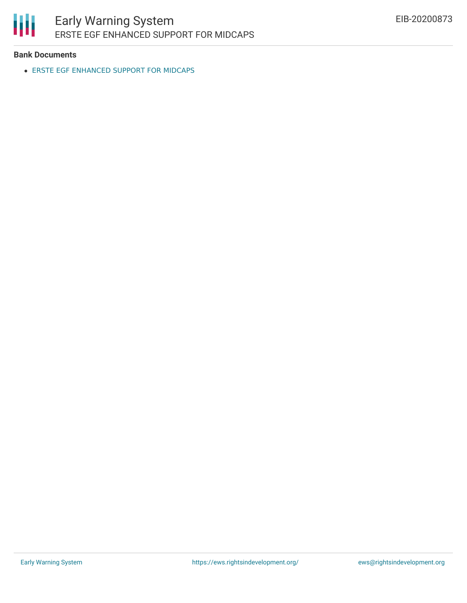

# **Bank Documents**

ERSTE EGF [ENHANCED](https://www.eib.org/en/projects/loans/all/20200873) SUPPORT FOR MIDCAPS